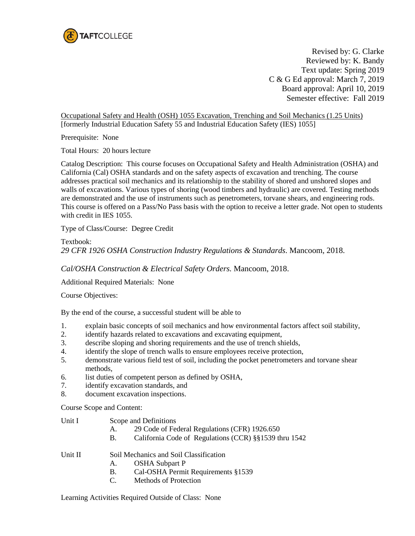

Revised by: G. Clarke Reviewed by: K. Bandy Text update: Spring 2019 C & G Ed approval: March 7, 2019 Board approval: April 10, 2019 Semester effective: Fall 2019

Occupational Safety and Health (OSH) 1055 Excavation, Trenching and Soil Mechanics (1.25 Units) [formerly Industrial Education Safety 55 and Industrial Education Safety (IES) 1055]

Prerequisite: None

Total Hours: 20 hours lecture

Catalog Description: This course focuses on Occupational Safety and Health Administration (OSHA) and California (Cal) OSHA standards and on the safety aspects of excavation and trenching. The course addresses practical soil mechanics and its relationship to the stability of shored and unshored slopes and walls of excavations. Various types of shoring (wood timbers and hydraulic) are covered. Testing methods are demonstrated and the use of instruments such as penetrometers, torvane shears, and engineering rods. This course is offered on a Pass/No Pass basis with the option to receive a letter grade. Not open to students with credit in IES 1055.

Type of Class/Course: Degree Credit

Textbook: *29 CFR 1926 OSHA Construction Industry Regulations & Standards*. Mancoom, 2018.

*Cal/OSHA Construction & Electrical Safety Orders.* Mancoom, 2018.

Additional Required Materials: None

Course Objectives:

By the end of the course, a successful student will be able to

- 1. explain basic concepts of soil mechanics and how environmental factors affect soil stability,
- 2. identify hazards related to excavations and excavating equipment,
- 3. describe sloping and shoring requirements and the use of trench shields,
- 4. identify the slope of trench walls to ensure employees receive protection,
- 5. demonstrate various field test of soil, including the pocket penetrometers and torvane shear methods,
- 6. list duties of competent person as defined by OSHA,
- 7. identify excavation standards, and
- 8. document excavation inspections.

Course Scope and Content:

- A. 29 Code of Federal Regulations (CFR) 1926.650
- B. California Code of Regulations (CCR) §§1539 thru 1542

## Unit II Soil Mechanics and Soil Classification

- A. OSHA Subpart P
- B. Cal-OSHA Permit Requirements §1539
- C. Methods of Protection

Learning Activities Required Outside of Class: None